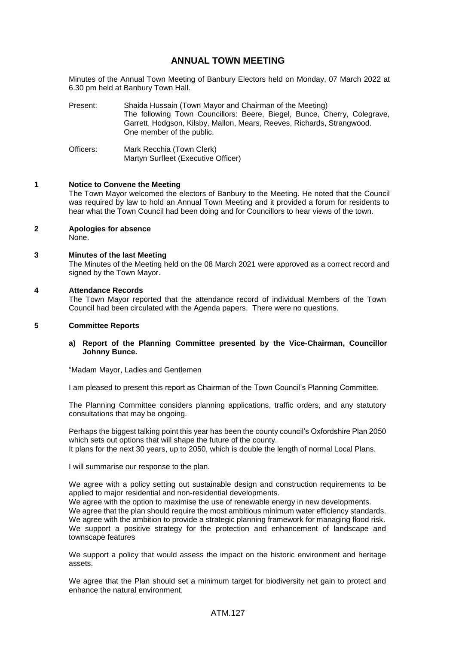# **ANNUAL TOWN MEETING**

Minutes of the Annual Town Meeting of Banbury Electors held on Monday, 07 March 2022 at 6.30 pm held at Banbury Town Hall.

- Present: Shaida Hussain (Town Mayor and Chairman of the Meeting) The following Town Councillors: Beere, Biegel, Bunce, Cherry, Colegrave, Garrett, Hodgson, Kilsby, Mallon, Mears, Reeves, Richards, Strangwood. One member of the public.
- Officers: Mark Recchia (Town Clerk) Martyn Surfleet (Executive Officer)

### **1 Notice to Convene the Meeting**

The Town Mayor welcomed the electors of Banbury to the Meeting. He noted that the Council was required by law to hold an Annual Town Meeting and it provided a forum for residents to hear what the Town Council had been doing and for Councillors to hear views of the town.

- **2 Apologies for absence** None.
	-

### **3 Minutes of the last Meeting**

The Minutes of the Meeting held on the 08 March 2021 were approved as a correct record and signed by the Town Mayor.

#### **4 Attendance Records**

The Town Mayor reported that the attendance record of individual Members of the Town Council had been circulated with the Agenda papers. There were no questions.

### **5 Committee Reports**

### **a) Report of the Planning Committee presented by the Vice-Chairman, Councillor Johnny Bunce.**

"Madam Mayor, Ladies and Gentlemen

I am pleased to present this report as Chairman of the Town Council's Planning Committee.

The Planning Committee considers planning applications, traffic orders, and any statutory consultations that may be ongoing.

Perhaps the biggest talking point this year has been the county council's Oxfordshire Plan 2050 which sets out options that will shape the future of the county.

It plans for the next 30 years, up to 2050, which is double the length of normal Local Plans.

I will summarise our response to the plan.

We agree with a policy setting out sustainable design and construction requirements to be applied to major residential and non-residential developments.

We agree with the option to maximise the use of renewable energy in new developments. We agree that the plan should require the most ambitious minimum water efficiency standards. We agree with the ambition to provide a strategic planning framework for managing flood risk. We support a positive strategy for the protection and enhancement of landscape and townscape features

We support a policy that would assess the impact on the historic environment and heritage assets.

We agree that the Plan should set a minimum target for biodiversity net gain to protect and enhance the natural environment.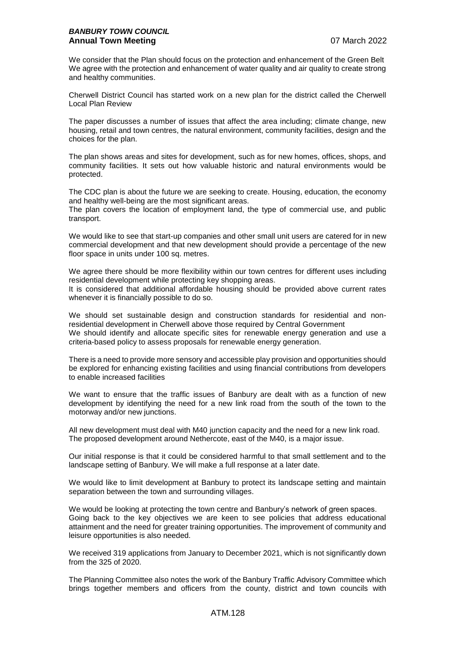We consider that the Plan should focus on the protection and enhancement of the Green Belt We agree with the protection and enhancement of water quality and air quality to create strong and healthy communities.

Cherwell District Council has started work on a new plan for the district called the Cherwell Local Plan Review

The paper discusses a number of issues that affect the area including; climate change, new housing, retail and town centres, the natural environment, community facilities, design and the choices for the plan.

The plan shows areas and sites for development, such as for new homes, offices, shops, and community facilities. It sets out how valuable historic and natural environments would be protected.

The CDC plan is about the future we are seeking to create. Housing, education, the economy and healthy well-being are the most significant areas.

The plan covers the location of employment land, the type of commercial use, and public transport.

We would like to see that start-up companies and other small unit users are catered for in new commercial development and that new development should provide a percentage of the new floor space in units under 100 sq. metres.

We agree there should be more flexibility within our town centres for different uses including residential development while protecting key shopping areas.

It is considered that additional affordable housing should be provided above current rates whenever it is financially possible to do so.

We should set sustainable design and construction standards for residential and nonresidential development in Cherwell above those required by Central Government We should identify and allocate specific sites for renewable energy generation and use a criteria-based policy to assess proposals for renewable energy generation.

There is a need to provide more sensory and accessible play provision and opportunities should be explored for enhancing existing facilities and using financial contributions from developers to enable increased facilities

We want to ensure that the traffic issues of Banbury are dealt with as a function of new development by identifying the need for a new link road from the south of the town to the motorway and/or new junctions.

All new development must deal with M40 junction capacity and the need for a new link road. The proposed development around Nethercote, east of the M40, is a major issue.

Our initial response is that it could be considered harmful to that small settlement and to the landscape setting of Banbury. We will make a full response at a later date.

We would like to limit development at Banbury to protect its landscape setting and maintain separation between the town and surrounding villages.

We would be looking at protecting the town centre and Banbury's network of green spaces. Going back to the key objectives we are keen to see policies that address educational attainment and the need for greater training opportunities. The improvement of community and leisure opportunities is also needed.

We received 319 applications from January to December 2021, which is not significantly down from the 325 of 2020.

The Planning Committee also notes the work of the Banbury Traffic Advisory Committee which brings together members and officers from the county, district and town councils with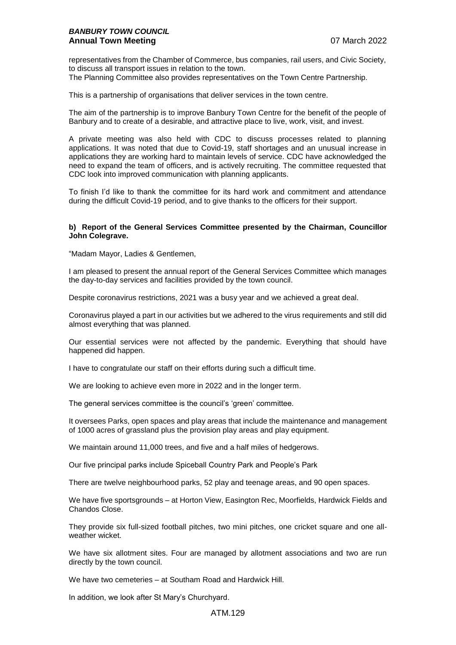representatives from the Chamber of Commerce, bus companies, rail users, and Civic Society, to discuss all transport issues in relation to the town.

The Planning Committee also provides representatives on the Town Centre Partnership.

This is a partnership of organisations that deliver services in the town centre.

The aim of the partnership is to improve Banbury Town Centre for the benefit of the people of Banbury and to create of a desirable, and attractive place to live, work, visit, and invest.

A private meeting was also held with CDC to discuss processes related to planning applications. It was noted that due to Covid-19, staff shortages and an unusual increase in applications they are working hard to maintain levels of service. CDC have acknowledged the need to expand the team of officers, and is actively recruiting. The committee requested that CDC look into improved communication with planning applicants.

To finish I'd like to thank the committee for its hard work and commitment and attendance during the difficult Covid-19 period, and to give thanks to the officers for their support.

### **b) Report of the General Services Committee presented by the Chairman, Councillor John Colegrave.**

"Madam Mayor, Ladies & Gentlemen,

I am pleased to present the annual report of the General Services Committee which manages the day-to-day services and facilities provided by the town council.

Despite coronavirus restrictions, 2021 was a busy year and we achieved a great deal.

Coronavirus played a part in our activities but we adhered to the virus requirements and still did almost everything that was planned.

Our essential services were not affected by the pandemic. Everything that should have happened did happen.

I have to congratulate our staff on their efforts during such a difficult time.

We are looking to achieve even more in 2022 and in the longer term.

The general services committee is the council's 'green' committee.

It oversees Parks, open spaces and play areas that include the maintenance and management of 1000 acres of grassland plus the provision play areas and play equipment.

We maintain around 11,000 trees, and five and a half miles of hedgerows.

Our five principal parks include Spiceball Country Park and People's Park

There are twelve neighbourhood parks, 52 play and teenage areas, and 90 open spaces.

We have five sportsgrounds – at Horton View, Easington Rec, Moorfields, Hardwick Fields and Chandos Close.

They provide six full-sized football pitches, two mini pitches, one cricket square and one allweather wicket.

We have six allotment sites. Four are managed by allotment associations and two are run directly by the town council.

We have two cemeteries – at Southam Road and Hardwick Hill.

In addition, we look after St Mary's Churchyard.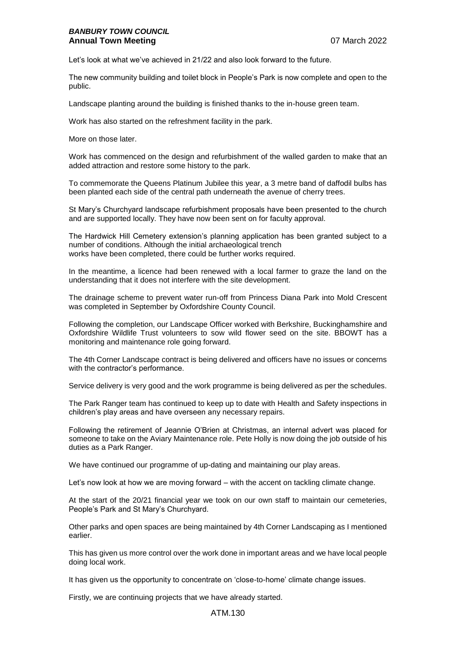## *BANBURY TOWN COUNCIL* **Annual Town Meeting 2008 12 March 2022**

Let's look at what we've achieved in 21/22 and also look forward to the future.

The new community building and toilet block in People's Park is now complete and open to the public.

Landscape planting around the building is finished thanks to the in-house green team.

Work has also started on the refreshment facility in the park.

More on those later.

Work has commenced on the design and refurbishment of the walled garden to make that an added attraction and restore some history to the park.

To commemorate the Queens Platinum Jubilee this year, a 3 metre band of daffodil bulbs has been planted each side of the central path underneath the avenue of cherry trees.

St Mary's Churchyard landscape refurbishment proposals have been presented to the church and are supported locally. They have now been sent on for faculty approval.

The Hardwick Hill Cemetery extension's planning application has been granted subject to a number of conditions. Although the initial archaeological trench works have been completed, there could be further works required.

In the meantime, a licence had been renewed with a local farmer to graze the land on the understanding that it does not interfere with the site development.

The drainage scheme to prevent water run-off from Princess Diana Park into Mold Crescent was completed in September by Oxfordshire County Council.

Following the completion, our Landscape Officer worked with Berkshire, Buckinghamshire and Oxfordshire Wildlife Trust volunteers to sow wild flower seed on the site. BBOWT has a monitoring and maintenance role going forward.

The 4th Corner Landscape contract is being delivered and officers have no issues or concerns with the contractor's performance.

Service delivery is very good and the work programme is being delivered as per the schedules.

The Park Ranger team has continued to keep up to date with Health and Safety inspections in children's play areas and have overseen any necessary repairs.

Following the retirement of Jeannie O'Brien at Christmas, an internal advert was placed for someone to take on the Aviary Maintenance role. Pete Holly is now doing the job outside of his duties as a Park Ranger.

We have continued our programme of up-dating and maintaining our play areas.

Let's now look at how we are moving forward – with the accent on tackling climate change.

At the start of the 20/21 financial year we took on our own staff to maintain our cemeteries, People's Park and St Mary's Churchyard.

Other parks and open spaces are being maintained by 4th Corner Landscaping as I mentioned earlier.

This has given us more control over the work done in important areas and we have local people doing local work.

It has given us the opportunity to concentrate on 'close-to-home' climate change issues.

Firstly, we are continuing projects that we have already started.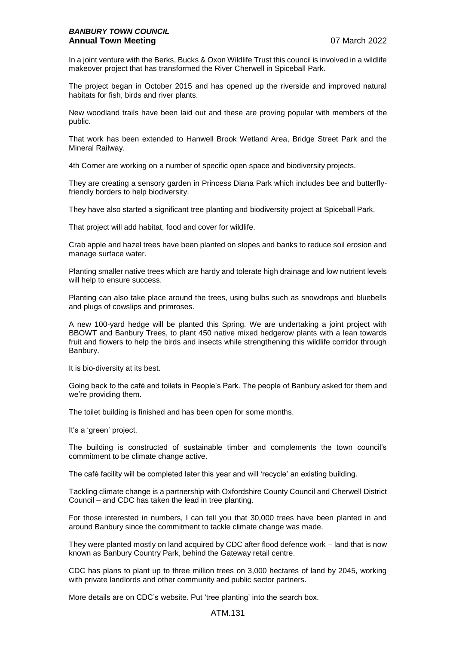### *BANBURY TOWN COUNCIL* **Annual Town Meeting** 07 March 2022

In a joint venture with the Berks, Bucks & Oxon Wildlife Trust this council is involved in a wildlife makeover project that has transformed the River Cherwell in Spiceball Park.

The project began in October 2015 and has opened up the riverside and improved natural habitats for fish, birds and river plants.

New woodland trails have been laid out and these are proving popular with members of the public.

That work has been extended to Hanwell Brook Wetland Area, Bridge Street Park and the Mineral Railway.

4th Corner are working on a number of specific open space and biodiversity projects.

They are creating a sensory garden in Princess Diana Park which includes bee and butterflyfriendly borders to help biodiversity.

They have also started a significant tree planting and biodiversity project at Spiceball Park.

That project will add habitat, food and cover for wildlife.

Crab apple and hazel trees have been planted on slopes and banks to reduce soil erosion and manage surface water.

Planting smaller native trees which are hardy and tolerate high drainage and low nutrient levels will help to ensure success.

Planting can also take place around the trees, using bulbs such as snowdrops and bluebells and plugs of cowslips and primroses.

A new 100-yard hedge will be planted this Spring. We are undertaking a joint project with BBOWT and Banbury Trees, to plant 450 native mixed hedgerow plants with a lean towards fruit and flowers to help the birds and insects while strengthening this wildlife corridor through Banbury.

It is bio-diversity at its best.

Going back to the café and toilets in People's Park. The people of Banbury asked for them and we're providing them.

The toilet building is finished and has been open for some months.

It's a 'green' project.

The building is constructed of sustainable timber and complements the town council's commitment to be climate change active.

The café facility will be completed later this year and will 'recycle' an existing building.

Tackling climate change is a partnership with Oxfordshire County Council and Cherwell District Council – and CDC has taken the lead in tree planting.

For those interested in numbers, I can tell you that 30,000 trees have been planted in and around Banbury since the commitment to tackle climate change was made.

They were planted mostly on land acquired by CDC after flood defence work – land that is now known as Banbury Country Park, behind the Gateway retail centre.

CDC has plans to plant up to three million trees on 3,000 hectares of land by 2045, working with private landlords and other community and public sector partners.

More details are on CDC's website. Put 'tree planting' into the search box.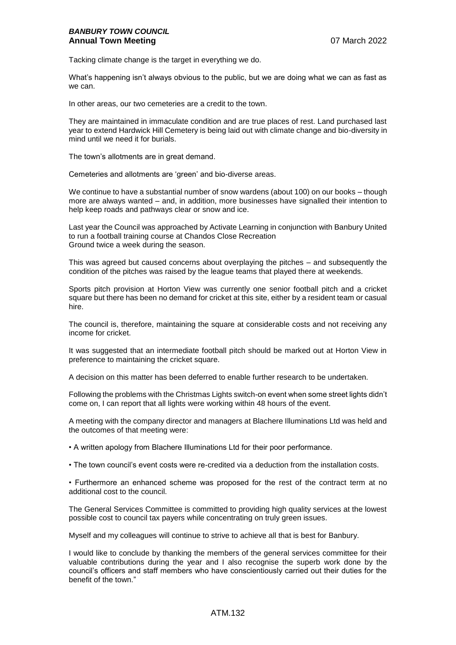Tacking climate change is the target in everything we do.

What's happening isn't always obvious to the public, but we are doing what we can as fast as we can.

In other areas, our two cemeteries are a credit to the town.

They are maintained in immaculate condition and are true places of rest. Land purchased last year to extend Hardwick Hill Cemetery is being laid out with climate change and bio-diversity in mind until we need it for burials.

The town's allotments are in great demand.

Cemeteries and allotments are 'green' and bio-diverse areas.

We continue to have a substantial number of snow wardens (about 100) on our books – though more are always wanted – and, in addition, more businesses have signalled their intention to help keep roads and pathways clear or snow and ice.

Last year the Council was approached by Activate Learning in conjunction with Banbury United to run a football training course at Chandos Close Recreation Ground twice a week during the season.

This was agreed but caused concerns about overplaying the pitches – and subsequently the condition of the pitches was raised by the league teams that played there at weekends.

Sports pitch provision at Horton View was currently one senior football pitch and a cricket square but there has been no demand for cricket at this site, either by a resident team or casual hire.

The council is, therefore, maintaining the square at considerable costs and not receiving any income for cricket.

It was suggested that an intermediate football pitch should be marked out at Horton View in preference to maintaining the cricket square.

A decision on this matter has been deferred to enable further research to be undertaken.

Following the problems with the Christmas Lights switch-on event when some street lights didn't come on, I can report that all lights were working within 48 hours of the event.

A meeting with the company director and managers at Blachere Illuminations Ltd was held and the outcomes of that meeting were:

• A written apology from Blachere Illuminations Ltd for their poor performance.

• The town council's event costs were re-credited via a deduction from the installation costs.

• Furthermore an enhanced scheme was proposed for the rest of the contract term at no additional cost to the council.

The General Services Committee is committed to providing high quality services at the lowest possible cost to council tax payers while concentrating on truly green issues.

Myself and my colleagues will continue to strive to achieve all that is best for Banbury.

I would like to conclude by thanking the members of the general services committee for their valuable contributions during the year and I also recognise the superb work done by the council's officers and staff members who have conscientiously carried out their duties for the benefit of the town."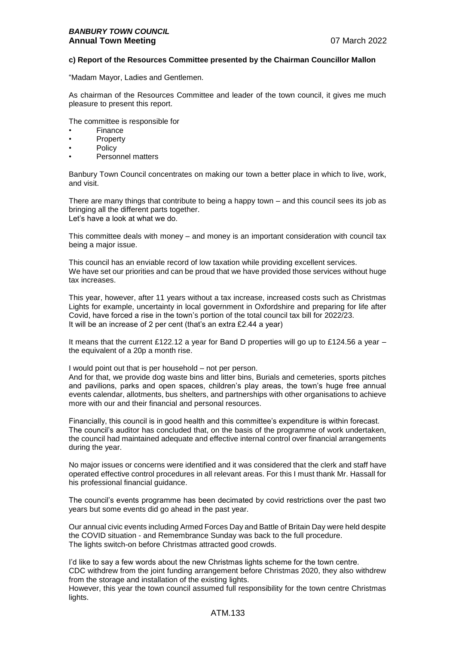### **c) Report of the Resources Committee presented by the Chairman Councillor Mallon**

"Madam Mayor, Ladies and Gentlemen.

As chairman of the Resources Committee and leader of the town council, it gives me much pleasure to present this report.

The committee is responsible for

- **Finance**
- **Property**
- **Policy**
- Personnel matters

Banbury Town Council concentrates on making our town a better place in which to live, work, and visit.

There are many things that contribute to being a happy town – and this council sees its job as bringing all the different parts together. Let's have a look at what we do.

This committee deals with money – and money is an important consideration with council tax being a major issue.

This council has an enviable record of low taxation while providing excellent services. We have set our priorities and can be proud that we have provided those services without huge tax increases.

This year, however, after 11 years without a tax increase, increased costs such as Christmas Lights for example, uncertainty in local government in Oxfordshire and preparing for life after Covid, have forced a rise in the town's portion of the total council tax bill for 2022/23. It will be an increase of 2 per cent (that's an extra £2.44 a year)

It means that the current £122.12 a year for Band D properties will go up to £124.56 a year – the equivalent of a 20p a month rise.

I would point out that is per household – not per person.

And for that, we provide dog waste bins and litter bins, Burials and cemeteries, sports pitches and pavilions, parks and open spaces, children's play areas, the town's huge free annual events calendar, allotments, bus shelters, and partnerships with other organisations to achieve more with our and their financial and personal resources.

Financially, this council is in good health and this committee's expenditure is within forecast. The council's auditor has concluded that, on the basis of the programme of work undertaken, the council had maintained adequate and effective internal control over financial arrangements during the year.

No major issues or concerns were identified and it was considered that the clerk and staff have operated effective control procedures in all relevant areas. For this I must thank Mr. Hassall for his professional financial guidance.

The council's events programme has been decimated by covid restrictions over the past two years but some events did go ahead in the past year.

Our annual civic events including Armed Forces Day and Battle of Britain Day were held despite the COVID situation - and Remembrance Sunday was back to the full procedure. The lights switch-on before Christmas attracted good crowds.

I'd like to say a few words about the new Christmas lights scheme for the town centre. CDC withdrew from the joint funding arrangement before Christmas 2020, they also withdrew from the storage and installation of the existing lights.

However, this year the town council assumed full responsibility for the town centre Christmas lights.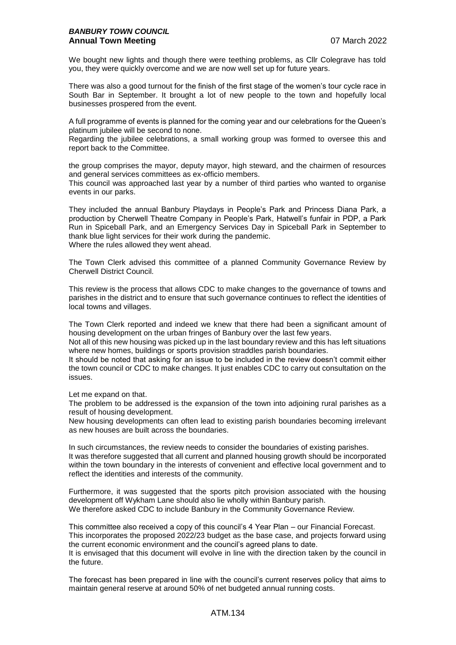### *BANBURY TOWN COUNCIL* **Annual Town Meeting 2022 Annual Town Meeting**

We bought new lights and though there were teething problems, as Cllr Colegrave has told you, they were quickly overcome and we are now well set up for future years.

There was also a good turnout for the finish of the first stage of the women's tour cycle race in South Bar in September. It brought a lot of new people to the town and hopefully local businesses prospered from the event.

A full programme of events is planned for the coming year and our celebrations for the Queen's platinum jubilee will be second to none.

Regarding the jubilee celebrations, a small working group was formed to oversee this and report back to the Committee.

the group comprises the mayor, deputy mayor, high steward, and the chairmen of resources and general services committees as ex-officio members.

This council was approached last year by a number of third parties who wanted to organise events in our parks.

They included the annual Banbury Playdays in People's Park and Princess Diana Park, a production by Cherwell Theatre Company in People's Park, Hatwell's funfair in PDP, a Park Run in Spiceball Park, and an Emergency Services Day in Spiceball Park in September to thank blue light services for their work during the pandemic. Where the rules allowed they went ahead.

The Town Clerk advised this committee of a planned Community Governance Review by Cherwell District Council.

This review is the process that allows CDC to make changes to the governance of towns and parishes in the district and to ensure that such governance continues to reflect the identities of local towns and villages.

The Town Clerk reported and indeed we knew that there had been a significant amount of housing development on the urban fringes of Banbury over the last few years.

Not all of this new housing was picked up in the last boundary review and this has left situations where new homes, buildings or sports provision straddles parish boundaries.

It should be noted that asking for an issue to be included in the review doesn't commit either the town council or CDC to make changes. It just enables CDC to carry out consultation on the issues.

Let me expand on that.

The problem to be addressed is the expansion of the town into adjoining rural parishes as a result of housing development.

New housing developments can often lead to existing parish boundaries becoming irrelevant as new houses are built across the boundaries.

In such circumstances, the review needs to consider the boundaries of existing parishes. It was therefore suggested that all current and planned housing growth should be incorporated within the town boundary in the interests of convenient and effective local government and to reflect the identities and interests of the community.

Furthermore, it was suggested that the sports pitch provision associated with the housing development off Wykham Lane should also lie wholly within Banbury parish. We therefore asked CDC to include Banbury in the Community Governance Review.

This committee also received a copy of this council's 4 Year Plan – our Financial Forecast. This incorporates the proposed 2022/23 budget as the base case, and projects forward using the current economic environment and the council's agreed plans to date.

It is envisaged that this document will evolve in line with the direction taken by the council in the future.

The forecast has been prepared in line with the council's current reserves policy that aims to maintain general reserve at around 50% of net budgeted annual running costs.